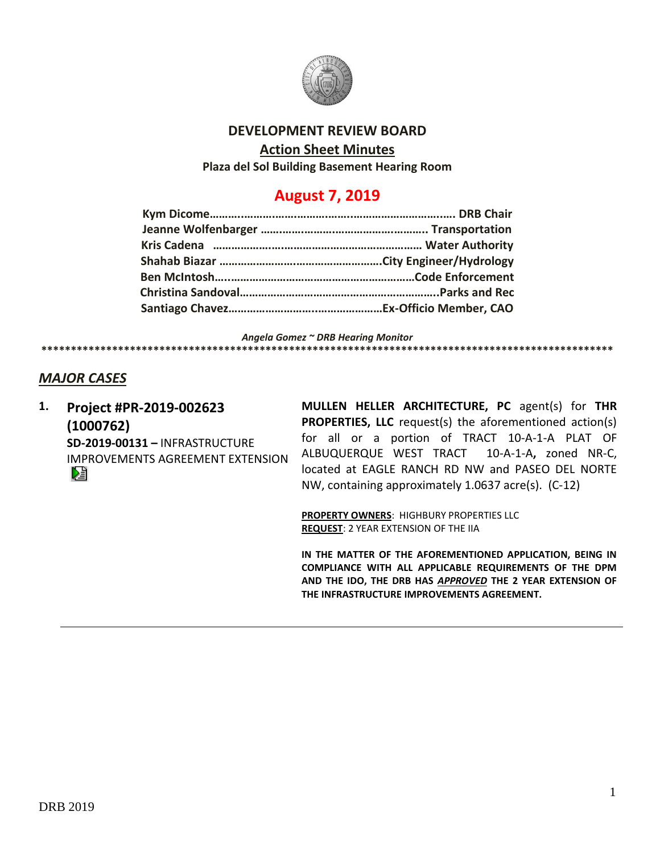

# **DEVELOPMENT REVIEW BOARD**

### **Action Sheet Minutes**

**Plaza del Sol Building Basement Hearing Room**

# **August 7, 2019**

*Angela Gomez ~ DRB Hearing Monitor*

#### **\*\*\*\*\*\*\*\*\*\*\*\*\*\*\*\*\*\*\*\*\*\*\*\*\*\*\*\*\*\*\*\*\*\*\*\*\*\*\*\*\*\*\*\*\*\*\*\*\*\*\*\*\*\*\*\*\*\*\*\*\*\*\*\*\*\*\*\*\*\*\*\*\*\*\*\*\*\*\*\*\*\*\*\*\*\*\*\*\*\*\*\*\*\*\*\*\***

# *MAJOR CASES*

**1. Project #PR-2019-002623 (1000762) SD-2019-00131 –** INFRASTRUCTURE IMPROVEMENTS AGREEMENT EXTENSION Dà

**MULLEN HELLER ARCHITECTURE, PC** agent(s) for **THR PROPERTIES, LLC** request(s) the aforementioned action(s) for all or a portion of TRACT 10-A-1-A PLAT OF ALBUQUERQUE WEST TRACT 10-A-1-A**,** zoned NR-C, located at EAGLE RANCH RD NW and PASEO DEL NORTE NW, containing approximately 1.0637 acre(s). (C-12)

**PROPERTY OWNERS**: HIGHBURY PROPERTIES LLC **REQUEST**: 2 YEAR EXTENSION OF THE IIA

**IN THE MATTER OF THE AFOREMENTIONED APPLICATION, BEING IN COMPLIANCE WITH ALL APPLICABLE REQUIREMENTS OF THE DPM AND THE IDO, THE DRB HAS** *APPROVED* **THE 2 YEAR EXTENSION OF THE INFRASTRUCTURE IMPROVEMENTS AGREEMENT.**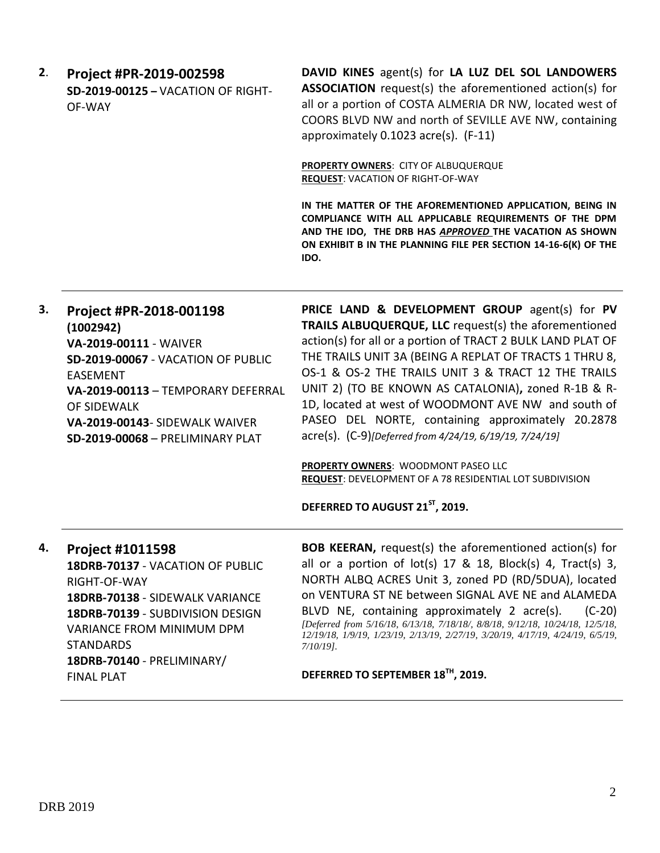**2**. **Project #PR-2019-002598 SD-2019-00125 –** VACATION OF RIGHT-OF-WAY

**DAVID KINES** agent(s) for **LA LUZ DEL SOL LANDOWERS ASSOCIATION** request(s) the aforementioned action(s) for all or a portion of COSTA ALMERIA DR NW, located west of COORS BLVD NW and north of SEVILLE AVE NW, containing approximately 0.1023 acre(s). (F-11)

**PROPERTY OWNERS**: CITY OF ALBUQUERQUE **REQUEST**: VACATION OF RIGHT-OF-WAY

**IN THE MATTER OF THE AFOREMENTIONED APPLICATION, BEING IN COMPLIANCE WITH ALL APPLICABLE REQUIREMENTS OF THE DPM AND THE IDO, THE DRB HAS** *APPROVED* **THE VACATION AS SHOWN ON EXHIBIT B IN THE PLANNING FILE PER SECTION 14-16-6(K) OF THE IDO.**

| 3. | Project #PR-2018-001198<br>(1002942)<br>VA-2019-00111 - WAIVER<br>SD-2019-00067 - VACATION OF PUBLIC<br><b>FASFMENT</b><br>VA-2019-00113 - TEMPORARY DEFERRAL<br>OF SIDEWALK<br>VA-2019-00143- SIDEWALK WAIVER<br><b>SD-2019-00068 - PRELIMINARY PLAT</b>     | PRICE LAND & DEVELOPMENT GROUP agent(s) for PV<br>TRAILS ALBUQUERQUE, LLC request(s) the aforementioned<br>action(s) for all or a portion of TRACT 2 BULK LAND PLAT OF<br>THE TRAILS UNIT 3A (BEING A REPLAT OF TRACTS 1 THRU 8,<br>OS-1 & OS-2 THE TRAILS UNIT 3 & TRACT 12 THE TRAILS<br>UNIT 2) (TO BE KNOWN AS CATALONIA), zoned R-1B & R-<br>1D, located at west of WOODMONT AVE NW and south of<br>PASEO DEL NORTE, containing approximately 20.2878<br>acre(s). (C-9)[Deferred from 4/24/19, 6/19/19, 7/24/19]<br>PROPERTY OWNERS: WOODMONT PASEO LLC<br><b>REQUEST: DEVELOPMENT OF A 78 RESIDENTIAL LOT SUBDIVISION</b><br>DEFERRED TO AUGUST 21 <sup>ST</sup> , 2019. |
|----|---------------------------------------------------------------------------------------------------------------------------------------------------------------------------------------------------------------------------------------------------------------|--------------------------------------------------------------------------------------------------------------------------------------------------------------------------------------------------------------------------------------------------------------------------------------------------------------------------------------------------------------------------------------------------------------------------------------------------------------------------------------------------------------------------------------------------------------------------------------------------------------------------------------------------------------------------------|
| 4. | <b>Project #1011598</b><br>18DRB-70137 - VACATION OF PUBLIC<br>RIGHT-OF-WAY<br>18DRB-70138 - SIDEWALK VARIANCE<br>18DRB-70139 - SUBDIVISION DESIGN<br><b>VARIANCE FROM MINIMUM DPM</b><br><b>STANDARDS</b><br>18DRB-70140 - PRELIMINARY/<br><b>FINAL PLAT</b> | <b>BOB KEERAN, request(s) the aforementioned action(s) for</b><br>all or a portion of $lot(s)$ 17 & 18, Block(s) 4, Tract(s) 3,<br>NORTH ALBQ ACRES Unit 3, zoned PD (RD/5DUA), located<br>on VENTURA ST NE between SIGNAL AVE NE and ALAMEDA<br>BLVD NE, containing approximately 2 acre(s).<br>$(C-20)$<br>[Deferred from 5/16/18, 6/13/18, 7/18/18/, 8/8/18, 9/12/18, 10/24/18, 12/5/18,<br>12/19/18, 1/9/19, 1/23/19, 2/13/19, 2/27/19, 3/20/19, 4/17/19, 4/24/19, 6/5/19,<br>$7/10/19$ .<br>DEFERRED TO SEPTEMBER 18 <sup>TH</sup> , 2019.                                                                                                                                |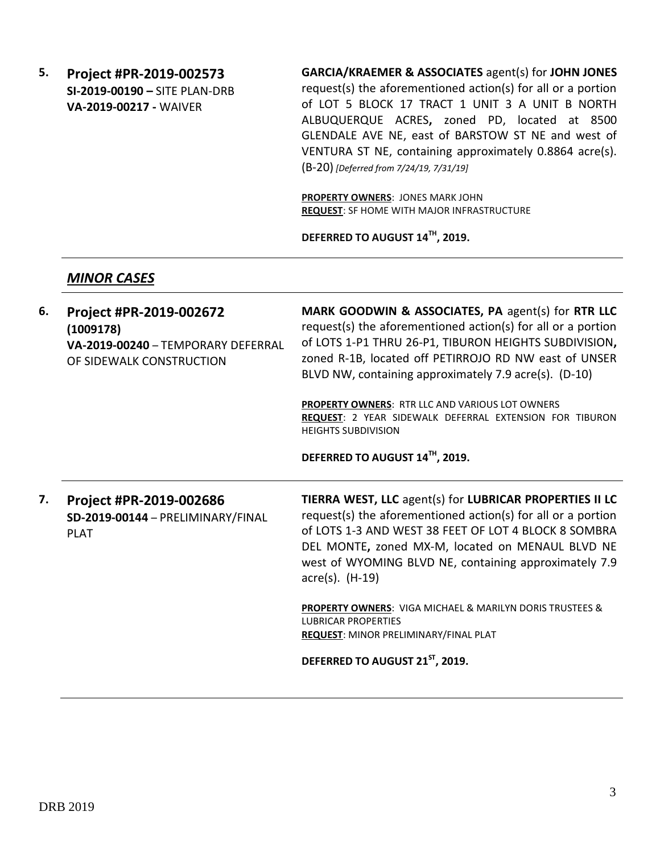**5. Project #PR-2019-002573 SI-2019-00190 –** SITE PLAN-DRB **VA-2019-00217 -** WAIVER

**GARCIA/KRAEMER & ASSOCIATES** agent(s) for **JOHN JONES** request(s) the aforementioned action(s) for all or a portion of LOT 5 BLOCK 17 TRACT 1 UNIT 3 A UNIT B NORTH ALBUQUERQUE ACRES**,** zoned PD, located at 8500 GLENDALE AVE NE, east of BARSTOW ST NE and west of VENTURA ST NE, containing approximately 0.8864 acre(s). (B-20) *[Deferred from 7/24/19, 7/31/19]*

**PROPERTY OWNERS**: JONES MARK JOHN **REQUEST**: SF HOME WITH MAJOR INFRASTRUCTURE

**DEFERRED TO AUGUST 14TH, 2019.**

# *MINOR CASES*

| 6. | Project #PR-2019-002672<br>(1009178)<br>VA-2019-00240 - TEMPORARY DEFERRAL<br>OF SIDEWALK CONSTRUCTION | MARK GOODWIN & ASSOCIATES, PA agent(s) for RTR LLC<br>request(s) the aforementioned action(s) for all or a portion<br>of LOTS 1-P1 THRU 26-P1, TIBURON HEIGHTS SUBDIVISION,<br>zoned R-1B, located off PETIRROJO RD NW east of UNSER<br>BLVD NW, containing approximately 7.9 acre(s). (D-10)<br><b>PROPERTY OWNERS: RTR LLC AND VARIOUS LOT OWNERS</b><br>REQUEST: 2 YEAR SIDEWALK DEFERRAL EXTENSION FOR TIBURON<br><b>HEIGHTS SUBDIVISION</b> |
|----|--------------------------------------------------------------------------------------------------------|--------------------------------------------------------------------------------------------------------------------------------------------------------------------------------------------------------------------------------------------------------------------------------------------------------------------------------------------------------------------------------------------------------------------------------------------------|
|    |                                                                                                        | DEFERRED TO AUGUST 14TH, 2019.                                                                                                                                                                                                                                                                                                                                                                                                                   |
| 7. | Project #PR-2019-002686<br>SD-2019-00144 - PRELIMINARY/FINAL<br><b>PLAT</b>                            | TIERRA WEST, LLC agent(s) for LUBRICAR PROPERTIES II LC<br>request(s) the aforementioned action(s) for all or a portion<br>of LOTS 1-3 AND WEST 38 FEET OF LOT 4 BLOCK 8 SOMBRA<br>DEL MONTE, zoned MX-M, located on MENAUL BLVD NE<br>west of WYOMING BLVD NE, containing approximately 7.9<br>$\text{acre(s)}$ . $(H-19)$                                                                                                                      |
|    |                                                                                                        | <b>PROPERTY OWNERS: VIGA MICHAEL &amp; MARILYN DORIS TRUSTEES &amp;</b><br><b>LUBRICAR PROPERTIES</b><br><b>REQUEST: MINOR PRELIMINARY/FINAL PLAT</b>                                                                                                                                                                                                                                                                                            |
|    |                                                                                                        | DEFERRED TO AUGUST 21ST, 2019.                                                                                                                                                                                                                                                                                                                                                                                                                   |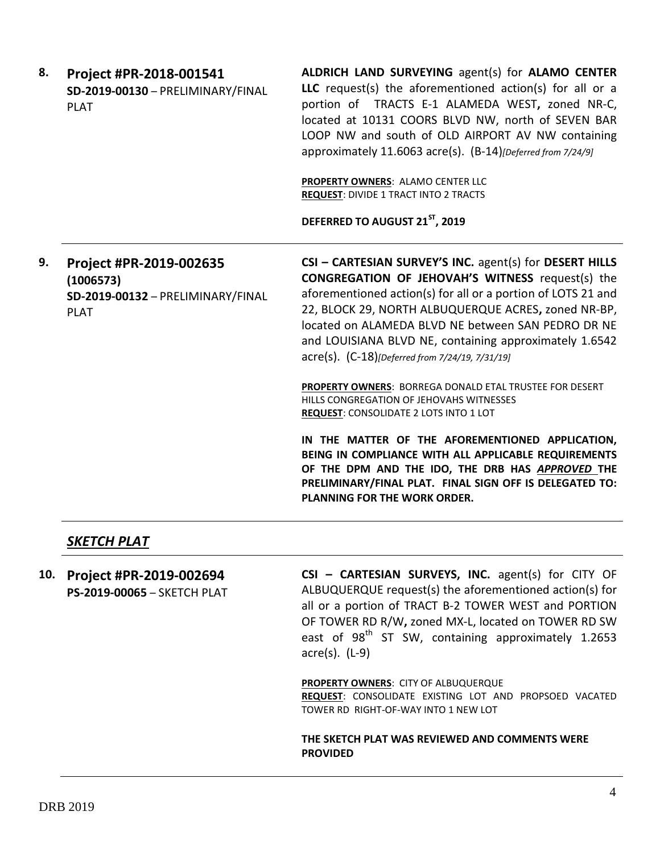| 8. | Project #PR-2018-001541<br>SD-2019-00130 - PRELIMINARY/FINAL<br><b>PLAT</b>              | ALDRICH LAND SURVEYING agent(s) for ALAMO CENTER<br>LLC request(s) the aforementioned action(s) for all or a<br>portion of TRACTS E-1 ALAMEDA WEST, zoned NR-C,<br>located at 10131 COORS BLVD NW, north of SEVEN BAR<br>LOOP NW and south of OLD AIRPORT AV NW containing<br>approximately 11.6063 acre(s). (B-14) [Deferred from 7/24/9]<br>PROPERTY OWNERS: ALAMO CENTER LLC<br><b>REQUEST: DIVIDE 1 TRACT INTO 2 TRACTS</b><br>DEFERRED TO AUGUST 21ST, 2019               |
|----|------------------------------------------------------------------------------------------|--------------------------------------------------------------------------------------------------------------------------------------------------------------------------------------------------------------------------------------------------------------------------------------------------------------------------------------------------------------------------------------------------------------------------------------------------------------------------------|
| 9. | Project #PR-2019-002635<br>(1006573)<br>SD-2019-00132 - PRELIMINARY/FINAL<br><b>PLAT</b> | CSI - CARTESIAN SURVEY'S INC. agent(s) for DESERT HILLS<br><b>CONGREGATION OF JEHOVAH'S WITNESS request(s) the</b><br>aforementioned action(s) for all or a portion of LOTS 21 and<br>22, BLOCK 29, NORTH ALBUQUERQUE ACRES, zoned NR-BP,<br>located on ALAMEDA BLVD NE between SAN PEDRO DR NE<br>and LOUISIANA BLVD NE, containing approximately 1.6542<br>acre(s). (C-18)[Deferred from 7/24/19, 7/31/19]<br><b>PROPERTY OWNERS: BORREGA DONALD ETAL TRUSTEE FOR DESERT</b> |
|    |                                                                                          | HILLS CONGREGATION OF JEHOVAHS WITNESSES<br><b>REQUEST: CONSOLIDATE 2 LOTS INTO 1 LOT</b>                                                                                                                                                                                                                                                                                                                                                                                      |
|    |                                                                                          | IN THE MATTER OF THE AFOREMENTIONED APPLICATION,<br>BEING IN COMPLIANCE WITH ALL APPLICABLE REQUIREMENTS<br>OF THE DPM AND THE IDO, THE DRB HAS APPROVED THE<br>PRELIMINARY/FINAL PLAT. FINAL SIGN OFF IS DELEGATED TO:<br><b>PLANNING FOR THE WORK ORDER.</b>                                                                                                                                                                                                                 |

# *SKETCH PLAT*

**10. Project #PR-2019-002694 PS-2019-00065** – SKETCH PLAT

**CSI – CARTESIAN SURVEYS, INC.** agent(s) for CITY OF ALBUQUERQUE request(s) the aforementioned action(s) for all or a portion of TRACT B-2 TOWER WEST and PORTION OF TOWER RD R/W**,** zoned MX-L, located on TOWER RD SW east of 98<sup>th</sup> ST SW, containing approximately 1.2653 acre(s). (L-9)

**PROPERTY OWNERS**: CITY OF ALBUQUERQUE **REQUEST**: CONSOLIDATE EXISTING LOT AND PROPSOED VACATED TOWER RD RIGHT-OF-WAY INTO 1 NEW LOT

**THE SKETCH PLAT WAS REVIEWED AND COMMENTS WERE PROVIDED**